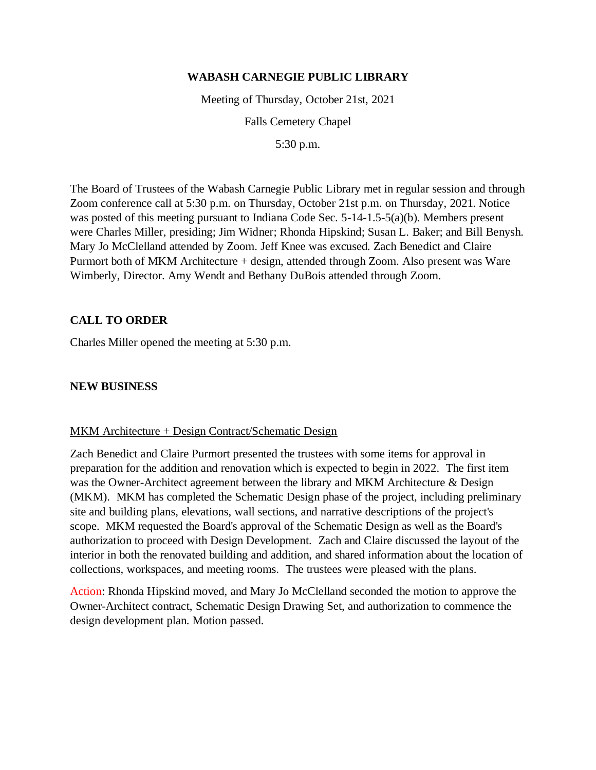#### **WABASH CARNEGIE PUBLIC LIBRARY**

Meeting of Thursday, October 21st, 2021

Falls Cemetery Chapel

5:30 p.m.

The Board of Trustees of the Wabash Carnegie Public Library met in regular session and through Zoom conference call at 5:30 p.m. on Thursday, October 21st p.m. on Thursday, 2021. Notice was posted of this meeting pursuant to Indiana Code Sec. 5-14-1.5-5(a)(b). Members present were Charles Miller, presiding; Jim Widner; Rhonda Hipskind; Susan L. Baker; and Bill Benysh. Mary Jo McClelland attended by Zoom. Jeff Knee was excused. Zach Benedict and Claire Purmort both of MKM Architecture + design, attended through Zoom. Also present was Ware Wimberly, Director. Amy Wendt and Bethany DuBois attended through Zoom.

# **CALL TO ORDER**

Charles Miller opened the meeting at 5:30 p.m.

# **NEW BUSINESS**

# MKM Architecture + Design Contract/Schematic Design

Zach Benedict and Claire Purmort presented the trustees with some items for approval in preparation for the addition and renovation which is expected to begin in 2022. The first item was the Owner-Architect agreement between the library and MKM Architecture & Design (MKM). MKM has completed the Schematic Design phase of the project, including preliminary site and building plans, elevations, wall sections, and narrative descriptions of the project's scope. MKM requested the Board's approval of the Schematic Design as well as the Board's authorization to proceed with Design Development. Zach and Claire discussed the layout of the interior in both the renovated building and addition, and shared information about the location of collections, workspaces, and meeting rooms. The trustees were pleased with the plans.

Action: Rhonda Hipskind moved, and Mary Jo McClelland seconded the motion to approve the Owner-Architect contract, Schematic Design Drawing Set, and authorization to commence the design development plan. Motion passed.